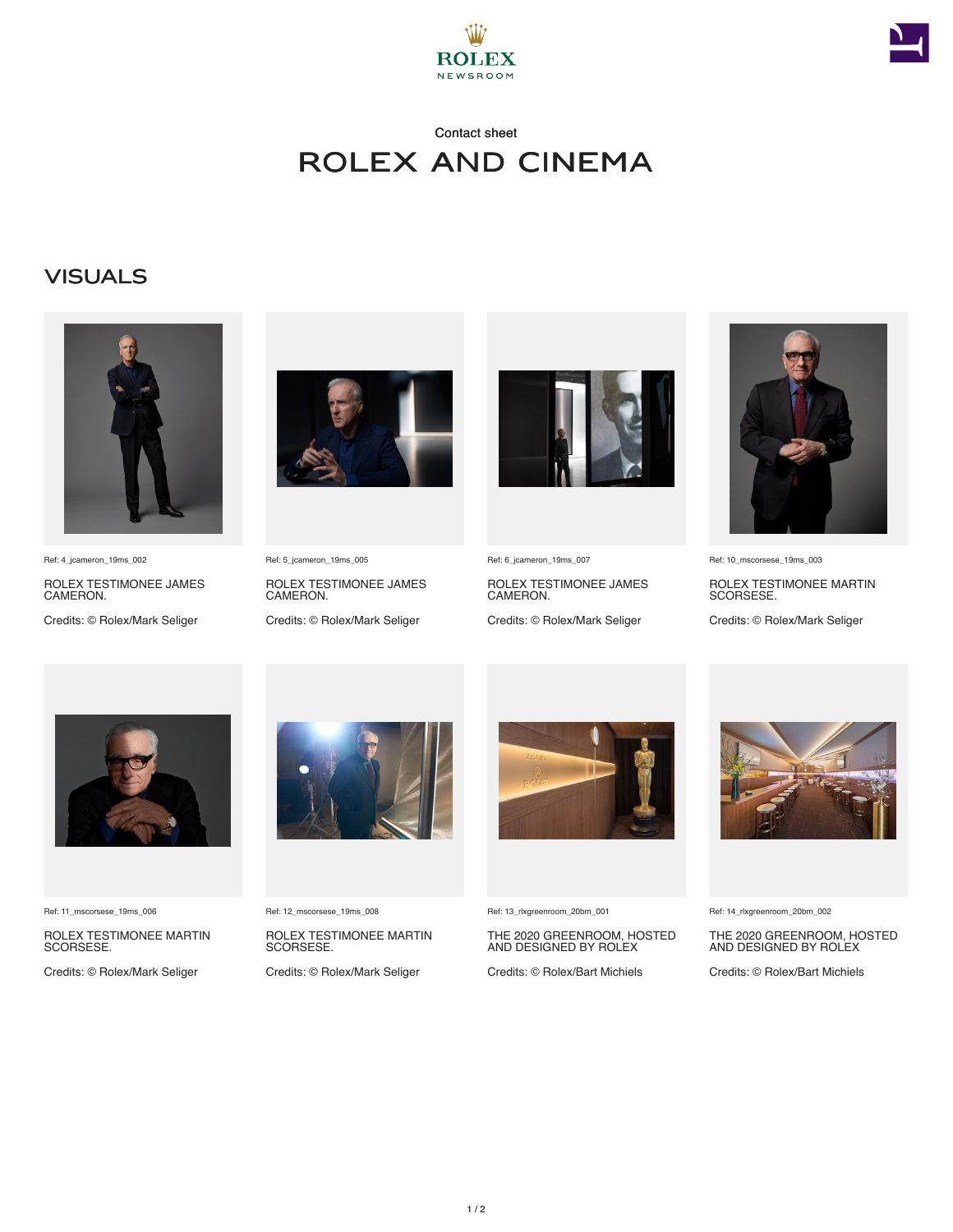



## Contact sheet Rolex and Cinema

## **VISUALS**



Ref: 4\_jcameron\_19ms\_002

ROLEX TESTIMONEE JAMES CAMERON.

Credits: © Rolex/Mark Seliger



Ref: 5\_jcameron\_19ms\_005

ROLEX TESTIMONEE JAMES CAMERON.

Credits: © Rolex/Mark Seliger



Ref: 6\_jcameron\_19ms\_007

ROLEX TESTIMONEE JAMES CAMERON. Credits: © Rolex/Mark Seliger



Ref: 10\_mscorsese\_19ms\_003

ROLEX TESTIMONEE MARTIN SCORSESE.

Credits: © Rolex/Mark Seliger



Ref: 11\_mscorsese\_19ms\_006

ROLEX TESTIMONEE MARTIN SCORSESE.

Credits: © Rolex/Mark Seliger



Ref: 12\_mscorsese\_19ms\_008

ROLEX TESTIMONEE MARTIN SCORSESE.

Credits: © Rolex/Mark Seliger



Ref: 13\_rlxgreenroom\_20bm\_001

THE 2020 GREENROOM, HOSTED AND DESIGNED BY ROLEX

Credits: © Rolex/Bart Michiels



Ref: 14\_rlxgreenroom\_20bm\_002

THE 2020 GREENROOM, HOSTED AND DESIGNED BY ROLEX

Credits: © Rolex/Bart Michiels